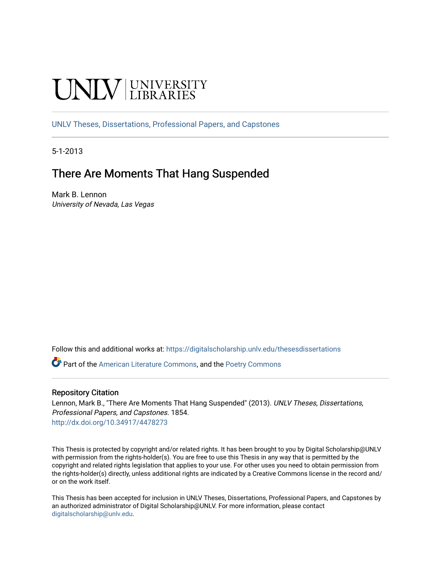# UNIV UNIVERSITY

[UNLV Theses, Dissertations, Professional Papers, and Capstones](https://digitalscholarship.unlv.edu/thesesdissertations)

5-1-2013

## There Are Moments That Hang Suspended

Mark B. Lennon University of Nevada, Las Vegas

Follow this and additional works at: [https://digitalscholarship.unlv.edu/thesesdissertations](https://digitalscholarship.unlv.edu/thesesdissertations?utm_source=digitalscholarship.unlv.edu%2Fthesesdissertations%2F1854&utm_medium=PDF&utm_campaign=PDFCoverPages)

Part of the [American Literature Commons](http://network.bepress.com/hgg/discipline/441?utm_source=digitalscholarship.unlv.edu%2Fthesesdissertations%2F1854&utm_medium=PDF&utm_campaign=PDFCoverPages), and the [Poetry Commons](http://network.bepress.com/hgg/discipline/1153?utm_source=digitalscholarship.unlv.edu%2Fthesesdissertations%2F1854&utm_medium=PDF&utm_campaign=PDFCoverPages) 

#### Repository Citation

Lennon, Mark B., "There Are Moments That Hang Suspended" (2013). UNLV Theses, Dissertations, Professional Papers, and Capstones. 1854. <http://dx.doi.org/10.34917/4478273>

This Thesis is protected by copyright and/or related rights. It has been brought to you by Digital Scholarship@UNLV with permission from the rights-holder(s). You are free to use this Thesis in any way that is permitted by the copyright and related rights legislation that applies to your use. For other uses you need to obtain permission from the rights-holder(s) directly, unless additional rights are indicated by a Creative Commons license in the record and/ or on the work itself.

This Thesis has been accepted for inclusion in UNLV Theses, Dissertations, Professional Papers, and Capstones by an authorized administrator of Digital Scholarship@UNLV. For more information, please contact [digitalscholarship@unlv.edu](mailto:digitalscholarship@unlv.edu).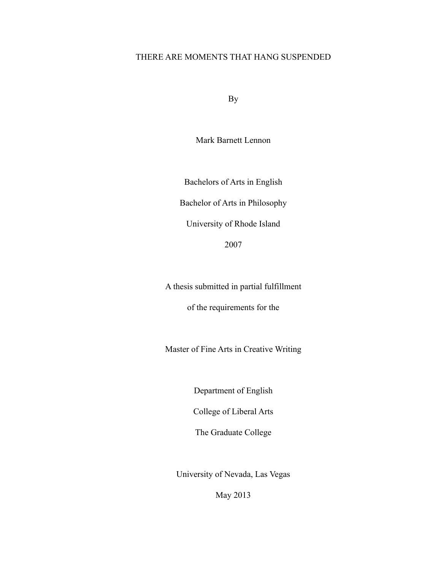## THERE ARE MOMENTS THAT HANG SUSPENDED

By

Mark Barnett Lennon

Bachelors of Arts in English

Bachelor of Arts in Philosophy

University of Rhode Island

2007

A thesis submitted in partial fulfillment

of the requirements for the

Master of Fine Arts in Creative Writing

Department of English

College of Liberal Arts

The Graduate College

University of Nevada, Las Vegas

May 2013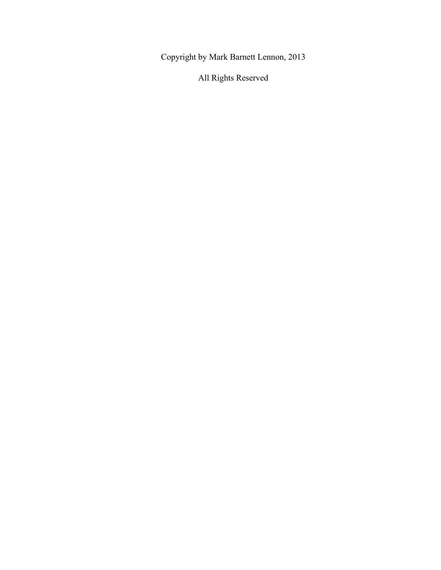Copyright by Mark Barnett Lennon, 2013

All Rights Reserved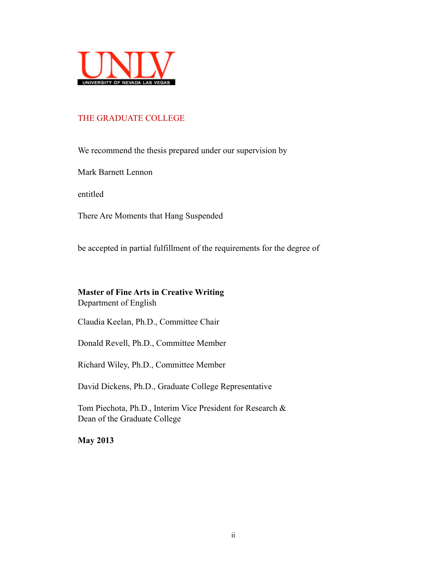

## THE GRADUATE COLLEGE

We recommend the thesis prepared under our supervision by

Mark Barnett Lennon

entitled

There Are Moments that Hang Suspended

be accepted in partial fulfillment of the requirements for the degree of

#### **Master of Fine Arts in Creative Writing**

Department of English

Claudia Keelan, Ph.D., Committee Chair

Donald Revell, Ph.D., Committee Member

Richard Wiley, Ph.D., Committee Member

David Dickens, Ph.D., Graduate College Representative

Tom Piechota, Ph.D., Interim Vice President for Research & Dean of the Graduate College

**May 2013**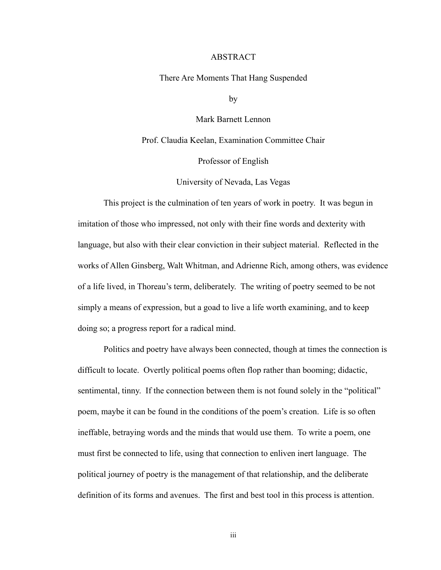#### ABSTRACT

There Are Moments That Hang Suspended

by

Mark Barnett Lennon

Prof. Claudia Keelan, Examination Committee Chair

Professor of English

University of Nevada, Las Vegas

 This project is the culmination of ten years of work in poetry. It was begun in imitation of those who impressed, not only with their fine words and dexterity with language, but also with their clear conviction in their subject material. Reflected in the works of Allen Ginsberg, Walt Whitman, and Adrienne Rich, among others, was evidence of a life lived, in Thoreau's term, deliberately. The writing of poetry seemed to be not simply a means of expression, but a goad to live a life worth examining, and to keep doing so; a progress report for a radical mind.

 Politics and poetry have always been connected, though at times the connection is difficult to locate. Overtly political poems often flop rather than booming; didactic, sentimental, tinny. If the connection between them is not found solely in the "political" poem, maybe it can be found in the conditions of the poem's creation. Life is so often ineffable, betraying words and the minds that would use them. To write a poem, one must first be connected to life, using that connection to enliven inert language. The political journey of poetry is the management of that relationship, and the deliberate definition of its forms and avenues. The first and best tool in this process is attention.

iii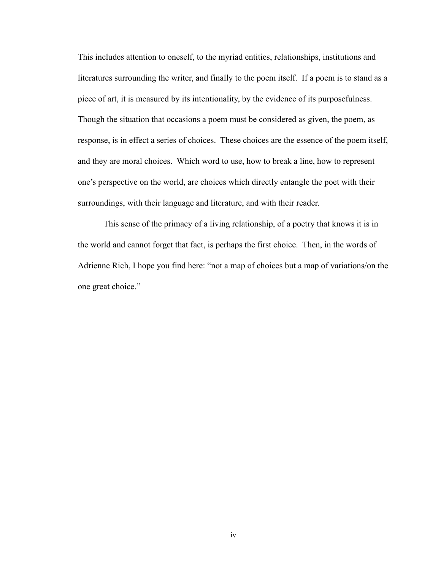This includes attention to oneself, to the myriad entities, relationships, institutions and literatures surrounding the writer, and finally to the poem itself. If a poem is to stand as a piece of art, it is measured by its intentionality, by the evidence of its purposefulness. Though the situation that occasions a poem must be considered as given, the poem, as response, is in effect a series of choices. These choices are the essence of the poem itself, and they are moral choices. Which word to use, how to break a line, how to represent one's perspective on the world, are choices which directly entangle the poet with their surroundings, with their language and literature, and with their reader.

 This sense of the primacy of a living relationship, of a poetry that knows it is in the world and cannot forget that fact, is perhaps the first choice. Then, in the words of Adrienne Rich, I hope you find here: "not a map of choices but a map of variations/on the one great choice."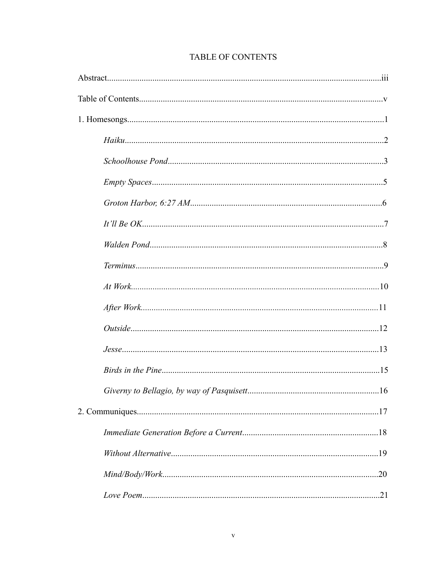| .20 |
|-----|
|     |

## TABLE OF CONTENTS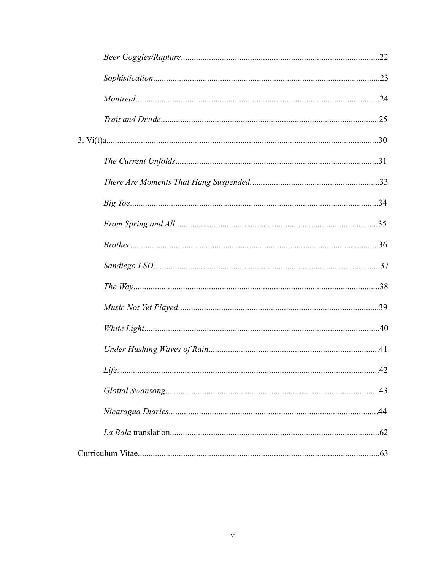| .43 |
|-----|
| .44 |
|     |
| .63 |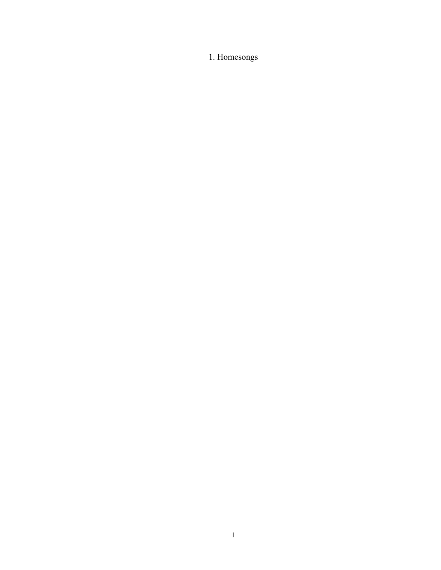1. Homesongs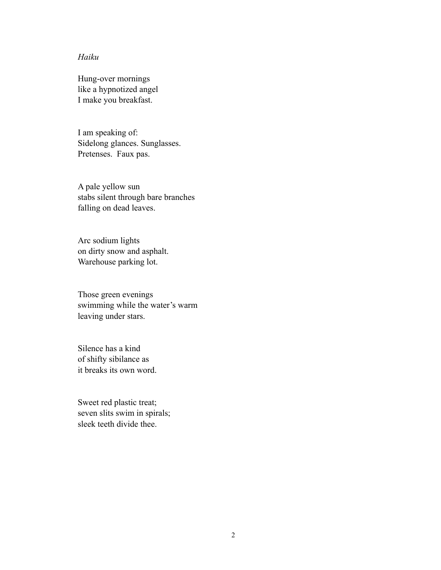## *Haiku*

Hung-over mornings like a hypnotized angel I make you breakfast.

I am speaking of: Sidelong glances. Sunglasses. Pretenses. Faux pas.

A pale yellow sun stabs silent through bare branches falling on dead leaves.

Arc sodium lights on dirty snow and asphalt. Warehouse parking lot.

Those green evenings swimming while the water's warm leaving under stars.

Silence has a kind of shifty sibilance as it breaks its own word.

Sweet red plastic treat; seven slits swim in spirals; sleek teeth divide thee.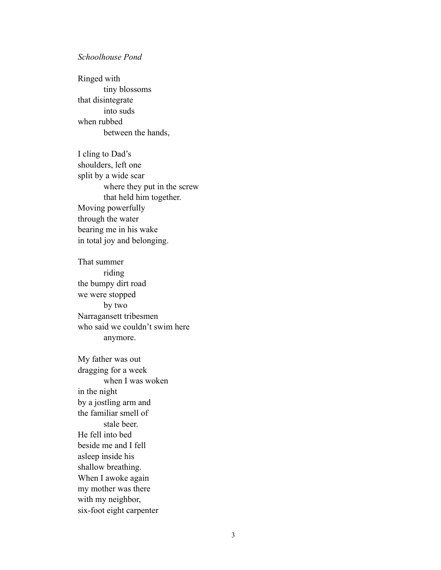#### *Schoolhouse Pond*

Ringed with tiny blossoms that disintegrate into suds when rubbed between the hands,

I cling to Dad's shoulders, left one split by a wide scar where they put in the screw that held him together. Moving powerfully through the water bearing me in his wake in total joy and belonging.

That summer riding the bumpy dirt road we were stopped by two Narragansett tribesmen who said we couldn't swim here anymore.

My father was out dragging for a week when I was woken in the night by a jostling arm and the familiar smell of stale beer. He fell into bed beside me and I fell asleep inside his shallow breathing. When I awoke again my mother was there with my neighbor, six-foot eight carpenter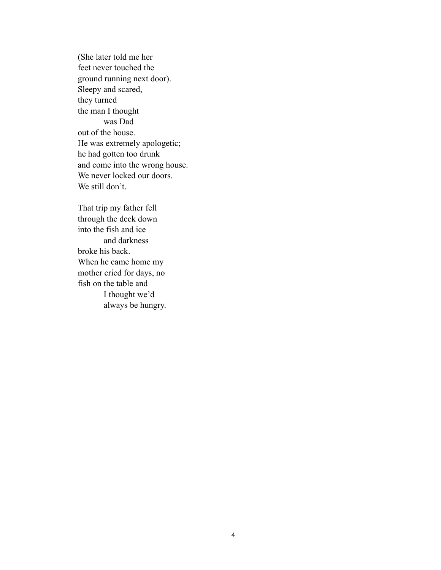(She later told me her feet never touched the ground running next door). Sleepy and scared, they turned the man I thought was Dad out of the house. He was extremely apologetic; he had gotten too drunk and come into the wrong house. We never locked our doors. We still don't.

That trip my father fell through the deck down into the fish and ice and darkness broke his back. When he came home my mother cried for days, no fish on the table and I thought we'd always be hungry.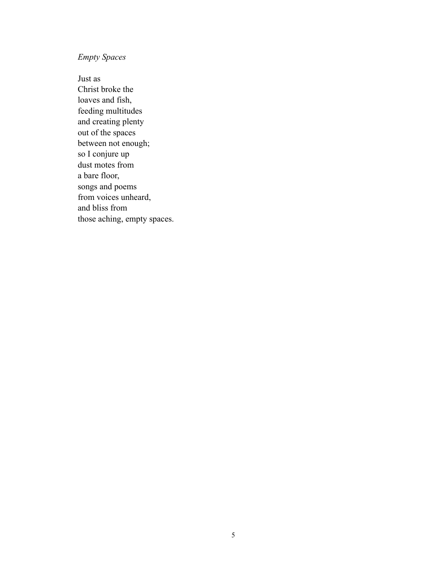## *Empty Spaces*

Just as Christ broke the loaves and fish, feeding multitudes and creating plenty out of the spaces between not enough; so I conjure up dust motes from a bare floor, songs and poems from voices unheard, and bliss from those aching, empty spaces.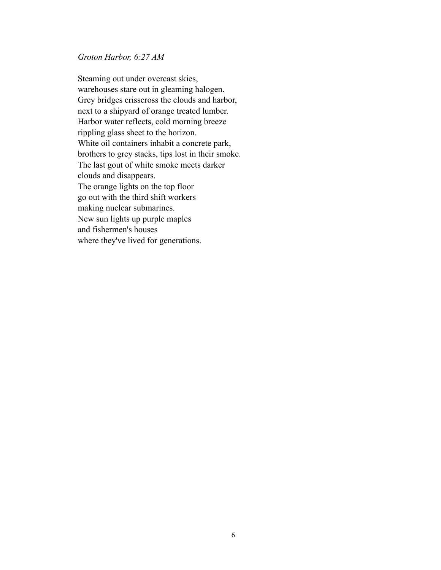#### *Groton Harbor, 6:27 AM*

Steaming out under overcast skies, warehouses stare out in gleaming halogen. Grey bridges crisscross the clouds and harbor, next to a shipyard of orange treated lumber. Harbor water reflects, cold morning breeze rippling glass sheet to the horizon. White oil containers inhabit a concrete park, brothers to grey stacks, tips lost in their smoke. The last gout of white smoke meets darker clouds and disappears. The orange lights on the top floor go out with the third shift workers making nuclear submarines. New sun lights up purple maples and fishermen's houses where they've lived for generations.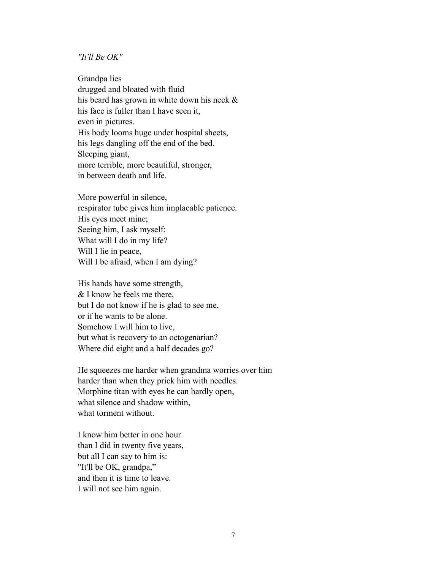#### *"It'll Be OK"*

Grandpa lies drugged and bloated with fluid his beard has grown in white down his neck & his face is fuller than I have seen it, even in pictures. His body looms huge under hospital sheets, his legs dangling off the end of the bed. Sleeping giant, more terrible, more beautiful, stronger, in between death and life.

More powerful in silence, respirator tube gives him implacable patience. His eyes meet mine; Seeing him, I ask myself: What will I do in my life? Will I lie in peace, Will I be afraid, when I am dying?

His hands have some strength, & I know he feels me there, but I do not know if he is glad to see me, or if he wants to be alone. Somehow I will him to live, but what is recovery to an octogenarian? Where did eight and a half decades go?

He squeezes me harder when grandma worries over him harder than when they prick him with needles. Morphine titan with eyes he can hardly open, what silence and shadow within, what torment without.

I know him better in one hour than I did in twenty five years, but all I can say to him is: "It'll be OK, grandpa," and then it is time to leave. I will not see him again.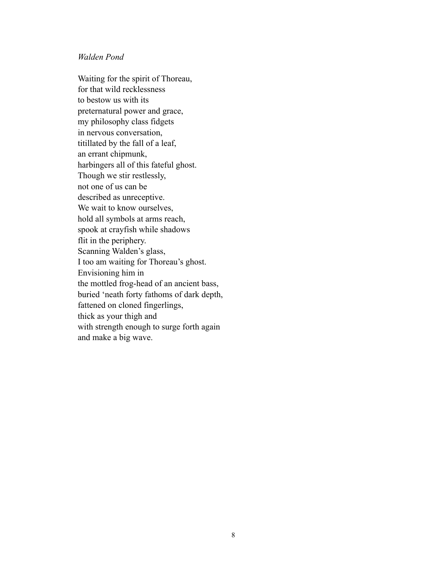#### *Walden Pond*

Waiting for the spirit of Thoreau, for that wild recklessness to bestow us with its preternatural power and grace, my philosophy class fidgets in nervous conversation, titillated by the fall of a leaf, an errant chipmunk, harbingers all of this fateful ghost. Though we stir restlessly, not one of us can be described as unreceptive. We wait to know ourselves, hold all symbols at arms reach, spook at crayfish while shadows flit in the periphery. Scanning Walden's glass, I too am waiting for Thoreau's ghost. Envisioning him in the mottled frog-head of an ancient bass, buried 'neath forty fathoms of dark depth, fattened on cloned fingerlings, thick as your thigh and with strength enough to surge forth again and make a big wave.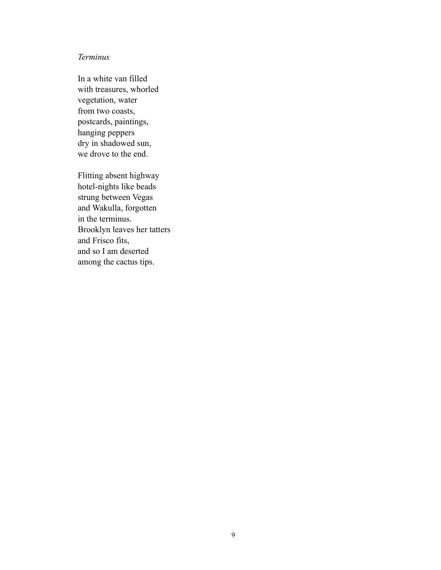## *Terminus*

In a white van filled with treasures, whorled vegetation, water from two coasts, postcards, paintings, hanging peppers dry in shadowed sun, we drove to the end.

Flitting absent highway hotel-nights like beads strung between Vegas and Wakulla, forgotten in the terminus. Brooklyn leaves her tatters and Frisco fits, and so I am deserted among the cactus tips.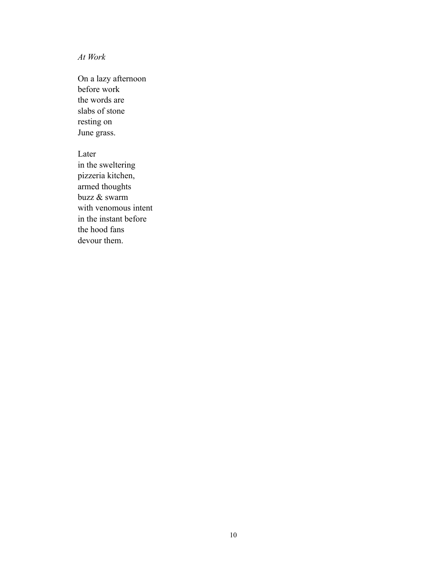*At Work*

On a lazy afternoon before work the words are slabs of stone resting on June grass.

Later in the sweltering pizzeria kitchen, armed thoughts buzz & swarm with venomous intent in the instant before the hood fans devour them.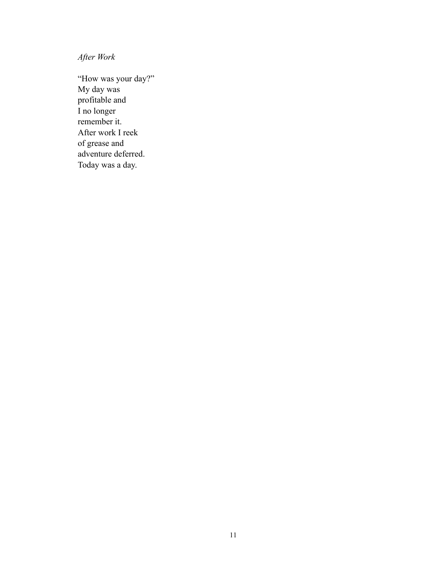*After Work*

"How was your day?" My day was profitable and I no longer remember it. After work I reek of grease and adventure deferred. Today was a day.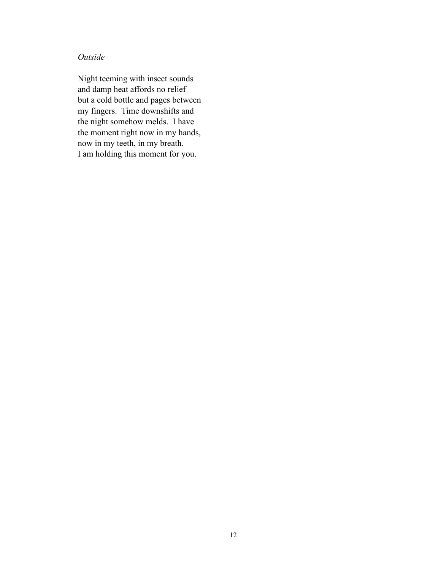## *Outside*

Night teeming with insect sounds and damp heat affords no relief but a cold bottle and pages between my fingers. Time downshifts and the night somehow melds. I have the moment right now in my hands, now in my teeth, in my breath. I am holding this moment for you.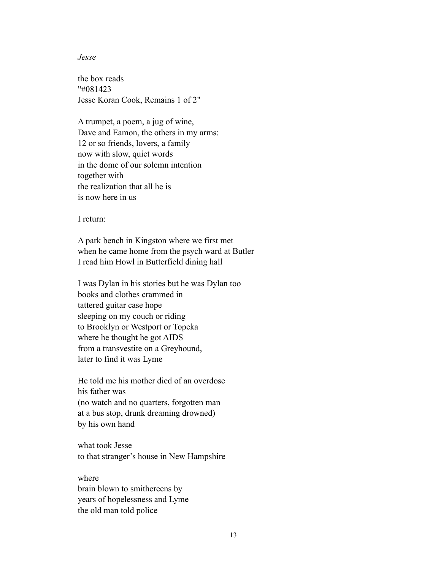#### *Jesse*

the box reads "#081423 Jesse Koran Cook, Remains 1 of 2"

A trumpet, a poem, a jug of wine, Dave and Eamon, the others in my arms: 12 or so friends, lovers, a family now with slow, quiet words in the dome of our solemn intention together with the realization that all he is is now here in us

I return:

A park bench in Kingston where we first met when he came home from the psych ward at Butler I read him Howl in Butterfield dining hall

I was Dylan in his stories but he was Dylan too books and clothes crammed in tattered guitar case hope sleeping on my couch or riding to Brooklyn or Westport or Topeka where he thought he got AIDS from a transvestite on a Greyhound, later to find it was Lyme

He told me his mother died of an overdose his father was (no watch and no quarters, forgotten man at a bus stop, drunk dreaming drowned) by his own hand

what took Jesse to that stranger's house in New Hampshire

where brain blown to smithereens by years of hopelessness and Lyme the old man told police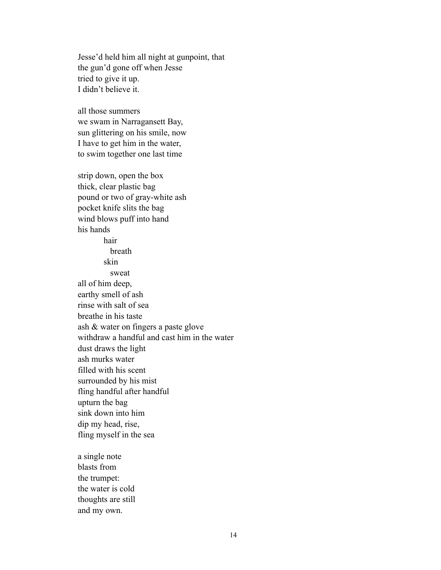Jesse'd held him all night at gunpoint, that the gun'd gone off when Jesse tried to give it up. I didn't believe it.

all those summers we swam in Narragansett Bay, sun glittering on his smile, now I have to get him in the water, to swim together one last time

strip down, open the box thick, clear plastic bag pound or two of gray-white ash pocket knife slits the bag wind blows puff into hand his hands hair breath skin sweat all of him deep, earthy smell of ash rinse with salt of sea breathe in his taste ash & water on fingers a paste glove withdraw a handful and cast him in the water dust draws the light ash murks water filled with his scent surrounded by his mist fling handful after handful upturn the bag sink down into him dip my head, rise, fling myself in the sea

a single note blasts from the trumpet: the water is cold thoughts are still and my own.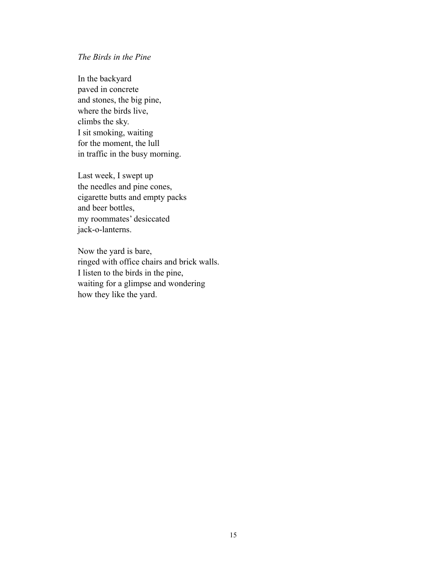## *The Birds in the Pine*

In the backyard paved in concrete and stones, the big pine, where the birds live, climbs the sky. I sit smoking, waiting for the moment, the lull in traffic in the busy morning.

Last week, I swept up the needles and pine cones, cigarette butts and empty packs and beer bottles, my roommates' desiccated jack-o-lanterns.

Now the yard is bare, ringed with office chairs and brick walls. I listen to the birds in the pine, waiting for a glimpse and wondering how they like the yard.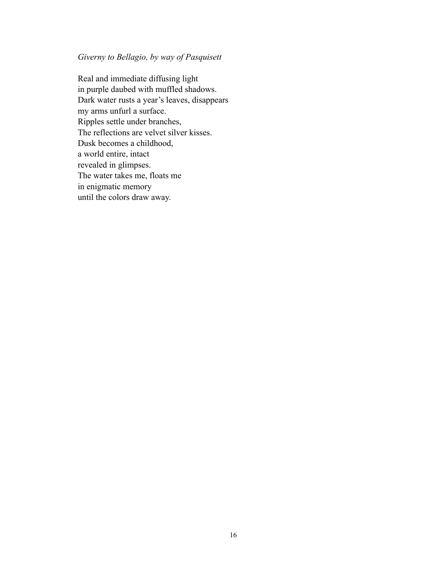## *Giverny to Bellagio, by way of Pasquisett*

Real and immediate diffusing light in purple daubed with muffled shadows. Dark water rusts a year's leaves, disappears my arms unfurl a surface. Ripples settle under branches, The reflections are velvet silver kisses. Dusk becomes a childhood, a world entire, intact revealed in glimpses. The water takes me, floats me in enigmatic memory until the colors draw away.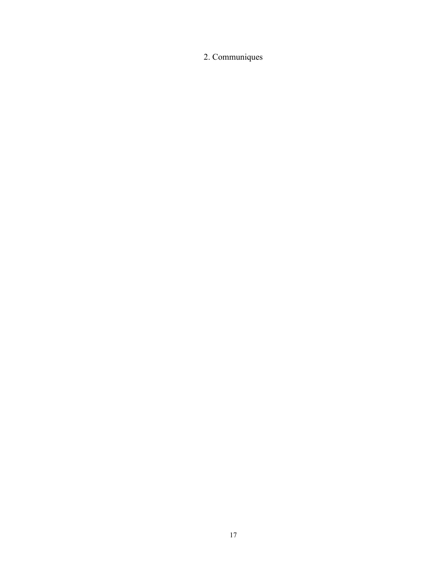# 2. Communiques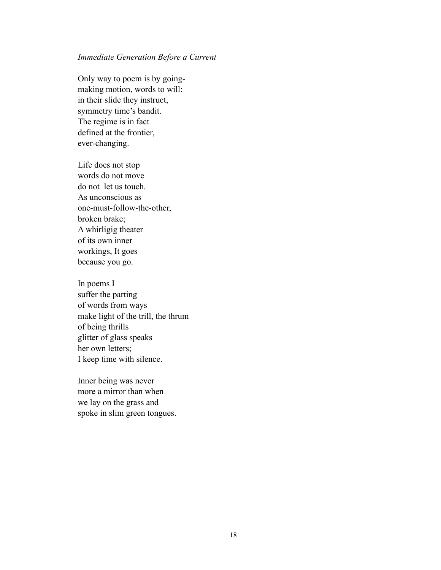#### *Immediate Generation Before a Current*

Only way to poem is by goingmaking motion, words to will: in their slide they instruct, symmetry time's bandit. The regime is in fact defined at the frontier, ever-changing.

Life does not stop words do not move do not let us touch. As unconscious as one-must-follow-the-other, broken brake; A whirligig theater of its own inner workings, It goes because you go.

In poems I suffer the parting of words from ways make light of the trill, the thrum of being thrills glitter of glass speaks her own letters; I keep time with silence.

Inner being was never more a mirror than when we lay on the grass and spoke in slim green tongues.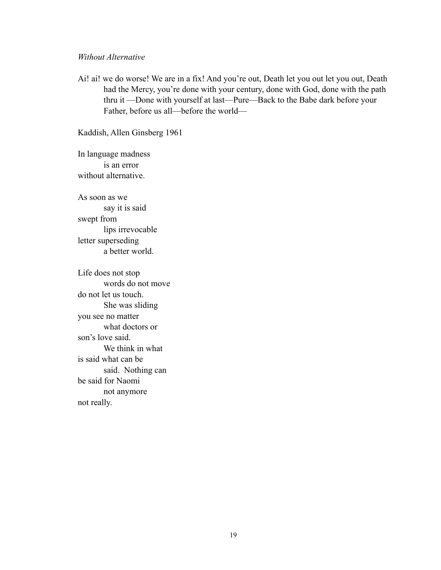#### *Without Alternative*

Ai! ai! we do worse! We are in a fix! And you're out, Death let you out let you out, Death had the Mercy, you're done with your century, done with God, done with the path thru it —Done with yourself at last—Pure—Back to the Babe dark before your Father, before us all—before the world—

Kaddish, Allen Ginsberg 1961

In language madness is an error without alternative.

As soon as we say it is said swept from lips irrevocable letter superseding a better world.

Life does not stop words do not move do not let us touch. She was sliding you see no matter what doctors or son's love said. We think in what is said what can be said. Nothing can be said for Naomi not anymore not really.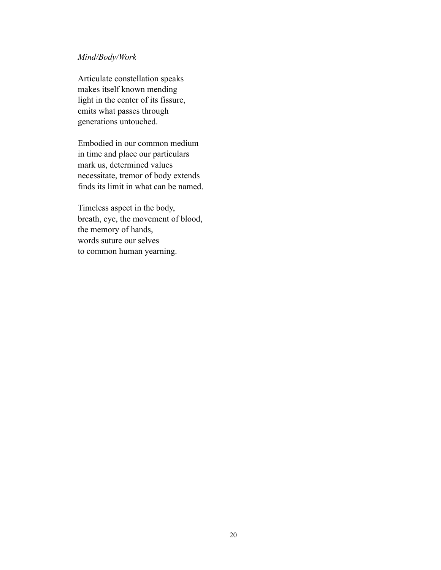## *Mind/Body/Work*

Articulate constellation speaks makes itself known mending light in the center of its fissure, emits what passes through generations untouched.

Embodied in our common medium in time and place our particulars mark us, determined values necessitate, tremor of body extends finds its limit in what can be named.

Timeless aspect in the body, breath, eye, the movement of blood, the memory of hands, words suture our selves to common human yearning.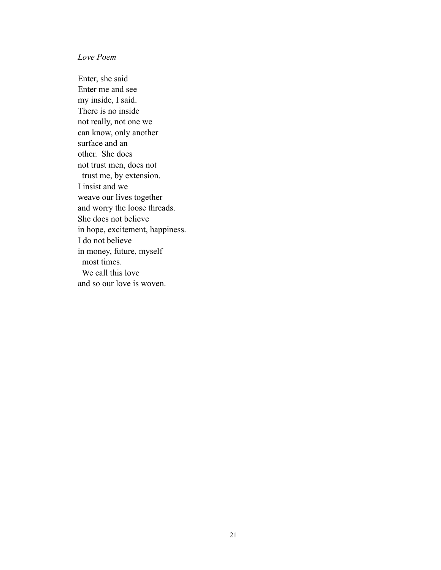## *Love Poem*

Enter, she said Enter me and see my inside, I said. There is no inside not really, not one we can know, only another surface and an other. She does not trust men, does not trust me, by extension. I insist and we weave our lives together and worry the loose threads. She does not believe in hope, excitement, happiness. I do not believe in money, future, myself most times. We call this love and so our love is woven.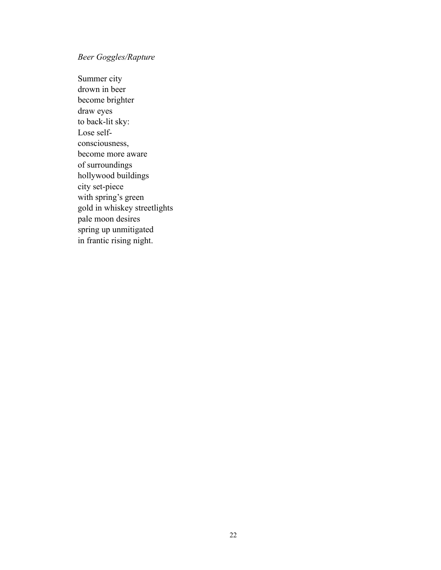## *Beer Goggles/Rapture*

Summer city drown in beer become brighter draw eyes to back-lit sky: Lose selfconsciousness, become more aware of surroundings hollywood buildings city set-piece with spring's green gold in whiskey streetlights pale moon desires spring up unmitigated in frantic rising night.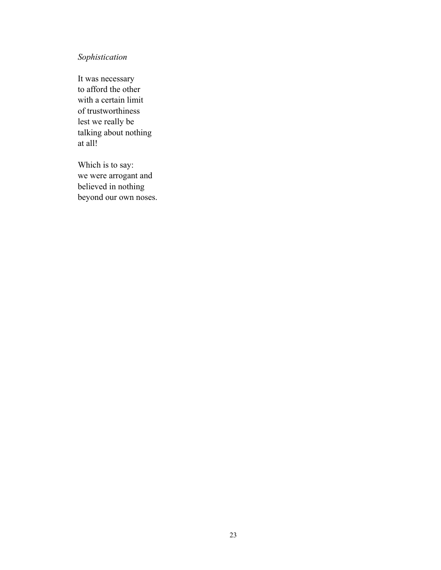## *Sophistication*

It was necessary to afford the other with a certain limit of trustworthiness lest we really be talking about nothing at all!

Which is to say: we were arrogant and believed in nothing beyond our own noses.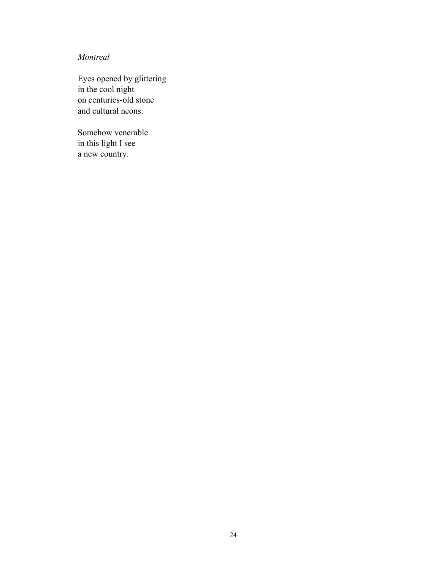## *Montreal*

Eyes opened by glittering in the cool night on centuries-old stone and cultural neons.

Somehow venerable in this light I see a new country.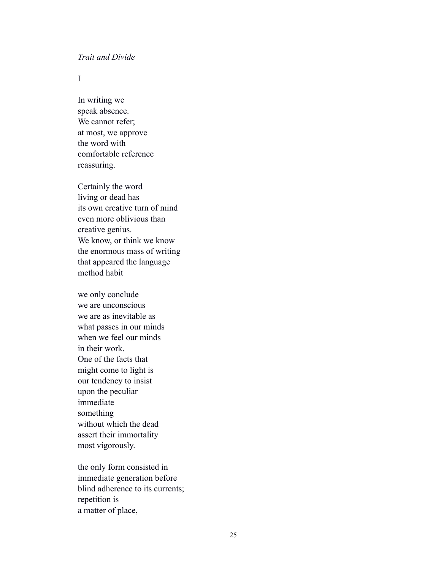#### *Trait and Divide*

I

In writing we speak absence. We cannot refer; at most, we approve the word with comfortable reference reassuring.

Certainly the word living or dead has its own creative turn of mind even more oblivious than creative genius. We know, or think we know the enormous mass of writing that appeared the language method habit

we only conclude we are unconscious we are as inevitable as what passes in our minds when we feel our minds in their work. One of the facts that might come to light is our tendency to insist upon the peculiar immediate something without which the dead assert their immortality most vigorously.

the only form consisted in immediate generation before blind adherence to its currents; repetition is a matter of place,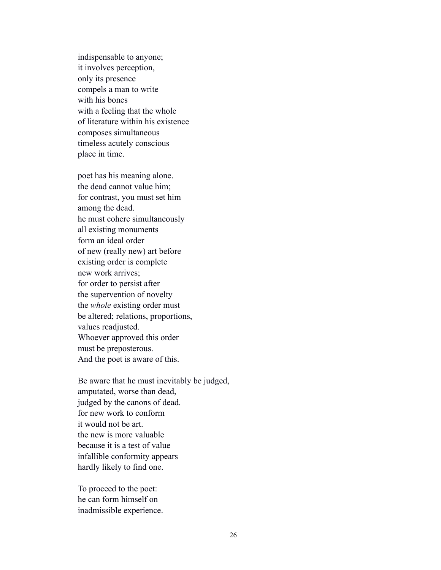indispensable to anyone; it involves perception, only its presence compels a man to write with his bones with a feeling that the whole of literature within his existence composes simultaneous timeless acutely conscious place in time.

poet has his meaning alone. the dead cannot value him; for contrast, you must set him among the dead. he must cohere simultaneously all existing monuments form an ideal order of new (really new) art before existing order is complete new work arrives; for order to persist after the supervention of novelty the *whole* existing order must be altered; relations, proportions, values readjusted. Whoever approved this order must be preposterous. And the poet is aware of this.

Be aware that he must inevitably be judged, amputated, worse than dead, judged by the canons of dead. for new work to conform it would not be art. the new is more valuable because it is a test of value infallible conformity appears hardly likely to find one.

To proceed to the poet: he can form himself on inadmissible experience.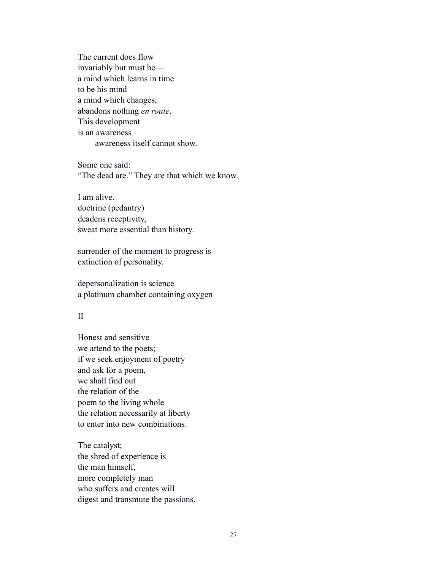The current does flow invariably but must be a mind which learns in time to be his mind a mind which changes, abandons nothing *en route*. This development is an awareness awareness itself cannot show.

Some one said: "The dead are." They are that which we know.

I am alive. doctrine (pedantry) deadens receptivity, sweat more essential than history.

surrender of the moment to progress is extinction of personality.

depersonalization is science a platinum chamber containing oxygen

#### II

Honest and sensitive we attend to the poets; if we seek enjoyment of poetry and ask for a poem, we shall find out the relation of the poem to the living whole the relation necessarily at liberty to enter into new combinations.

The catalyst; the shred of experience is the man himself, more completely man who suffers and creates will digest and transmute the passions.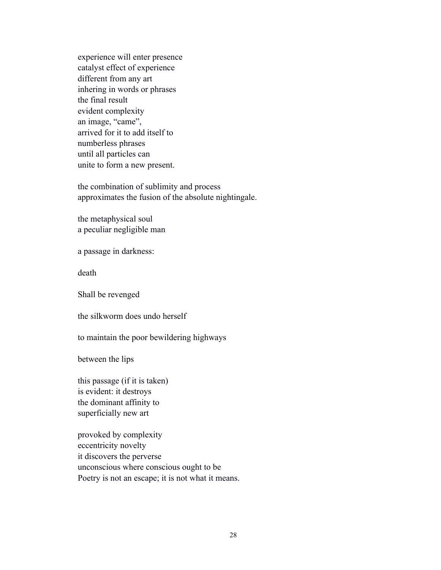experience will enter presence catalyst effect of experience different from any art inhering in words or phrases the final result evident complexity an image, "came", arrived for it to add itself to numberless phrases until all particles can unite to form a new present.

the combination of sublimity and process approximates the fusion of the absolute nightingale.

the metaphysical soul a peculiar negligible man

a passage in darkness:

death

Shall be revenged

the silkworm does undo herself

to maintain the poor bewildering highways

between the lips

this passage (if it is taken) is evident: it destroys the dominant affinity to superficially new art

provoked by complexity eccentricity novelty it discovers the perverse unconscious where conscious ought to be Poetry is not an escape; it is not what it means.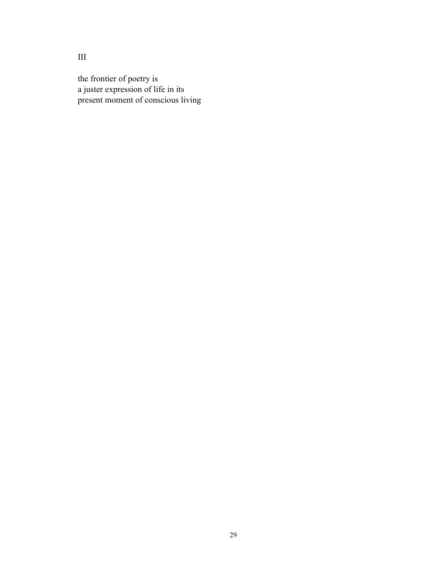the frontier of poetry is a juster expression of life in its present moment of conscious living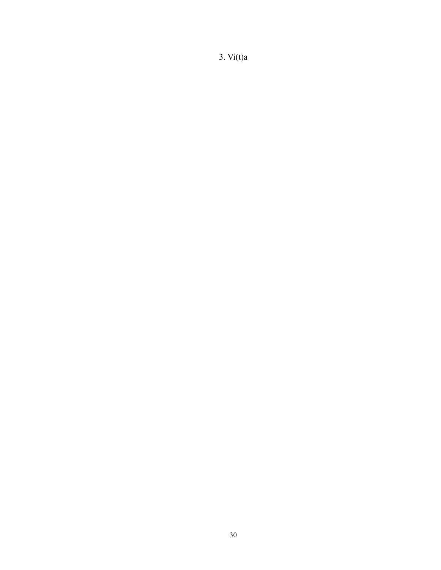3. Vi(t)a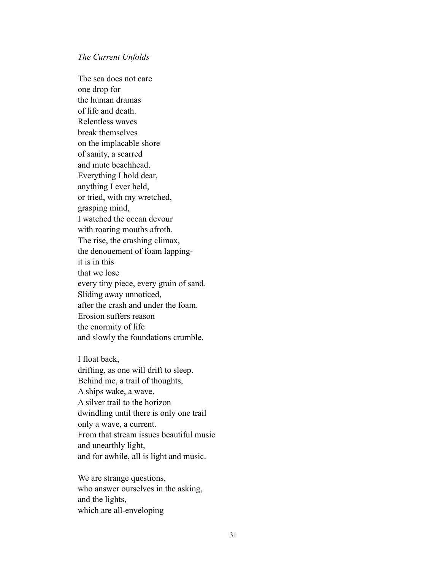#### *The Current Unfolds*

The sea does not care one drop for the human dramas of life and death. Relentless waves break themselves on the implacable shore of sanity, a scarred and mute beachhead. Everything I hold dear, anything I ever held, or tried, with my wretched, grasping mind, I watched the ocean devour with roaring mouths afroth. The rise, the crashing climax, the denouement of foam lappingit is in this that we lose every tiny piece, every grain of sand. Sliding away unnoticed, after the crash and under the foam. Erosion suffers reason the enormity of life and slowly the foundations crumble.

I float back, drifting, as one will drift to sleep. Behind me, a trail of thoughts, A ships wake, a wave, A silver trail to the horizon dwindling until there is only one trail only a wave, a current. From that stream issues beautiful music and unearthly light, and for awhile, all is light and music.

We are strange questions, who answer ourselves in the asking, and the lights, which are all-enveloping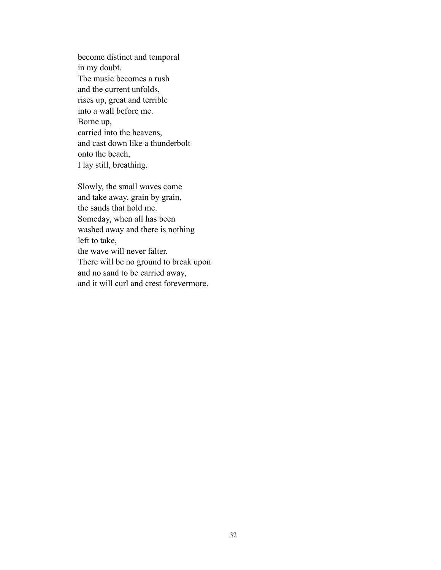become distinct and temporal in my doubt. The music becomes a rush and the current unfolds, rises up, great and terrible into a wall before me. Borne up, carried into the heavens, and cast down like a thunderbolt onto the beach, I lay still, breathing.

Slowly, the small waves come and take away, grain by grain, the sands that hold me. Someday, when all has been washed away and there is nothing left to take, the wave will never falter. There will be no ground to break upon and no sand to be carried away,

and it will curl and crest forevermore.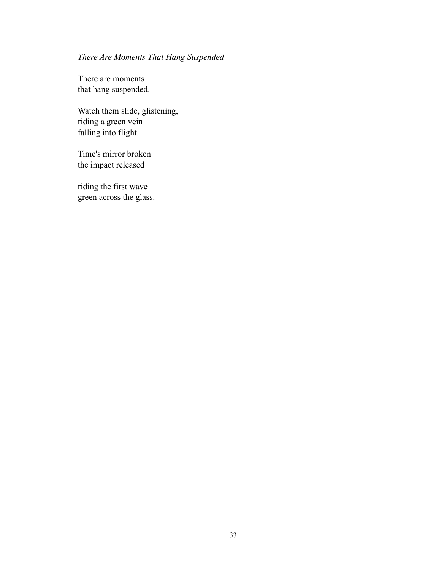# *There Are Moments That Hang Suspended*

There are moments that hang suspended.

Watch them slide, glistening, riding a green vein falling into flight.

Time's mirror broken the impact released

riding the first wave green across the glass.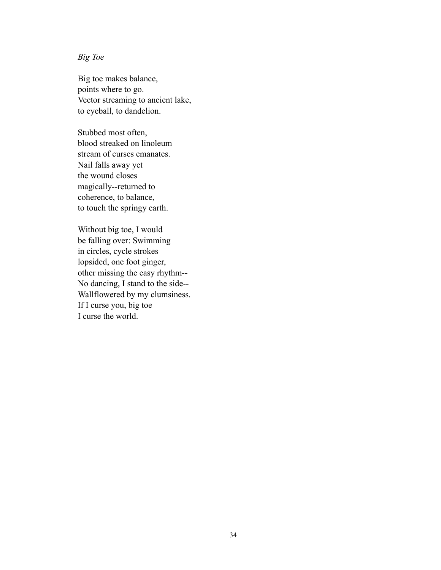## *Big Toe*

Big toe makes balance, points where to go. Vector streaming to ancient lake, to eyeball, to dandelion.

Stubbed most often, blood streaked on linoleum stream of curses emanates. Nail falls away yet the wound closes magically--returned to coherence, to balance, to touch the springy earth.

Without big toe, I would be falling over: Swimming in circles, cycle strokes lopsided, one foot ginger, other missing the easy rhythm-- No dancing, I stand to the side-- Wallflowered by my clumsiness. If I curse you, big toe I curse the world.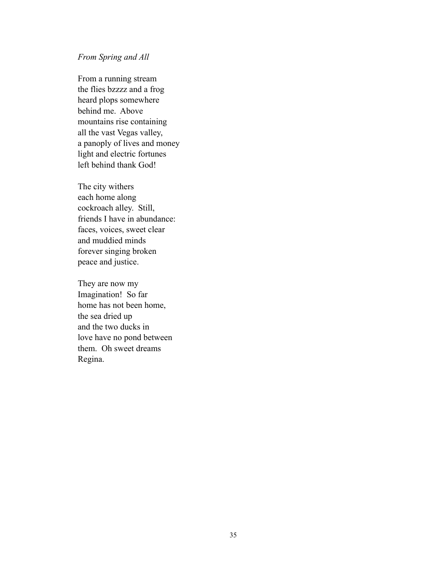#### *From Spring and All*

From a running stream the flies bzzzz and a frog heard plops somewhere behind me. Above mountains rise containing all the vast Vegas valley, a panoply of lives and money light and electric fortunes left behind thank God!

The city withers each home along cockroach alley. Still, friends I have in abundance: faces, voices, sweet clear and muddied minds forever singing broken peace and justice.

They are now my Imagination! So far home has not been home, the sea dried up and the two ducks in love have no pond between them. Oh sweet dreams Regina.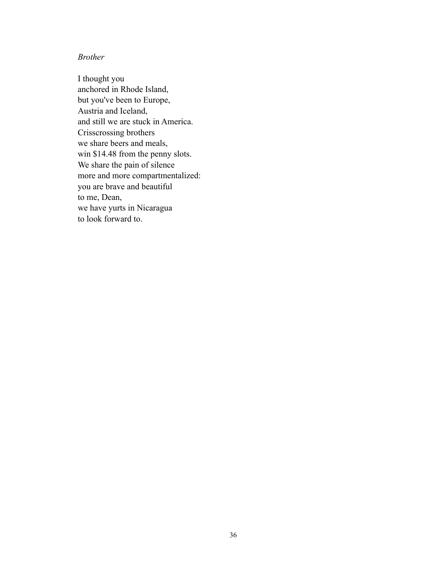### *Brother*

I thought you anchored in Rhode Island, but you've been to Europe, Austria and Iceland, and still we are stuck in America. Crisscrossing brothers we share beers and meals, win \$14.48 from the penny slots. We share the pain of silence more and more compartmentalized: you are brave and beautiful to me, Dean, we have yurts in Nicaragua to look forward to.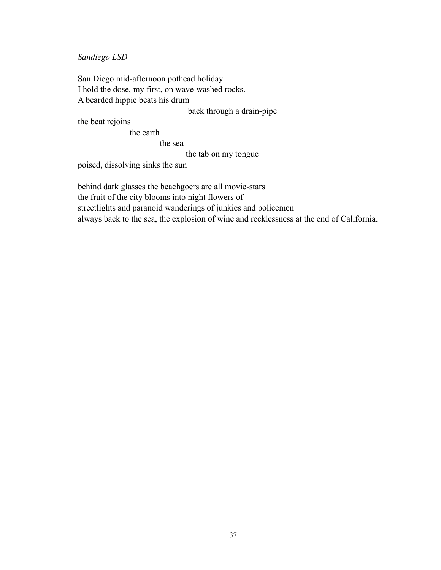*Sandiego LSD*

San Diego mid-afternoon pothead holiday I hold the dose, my first, on wave-washed rocks. A bearded hippie beats his drum

back through a drain-pipe

the beat rejoins

the earth

the sea

the tab on my tongue

poised, dissolving sinks the sun

behind dark glasses the beachgoers are all movie-stars the fruit of the city blooms into night flowers of streetlights and paranoid wanderings of junkies and policemen always back to the sea, the explosion of wine and recklessness at the end of California.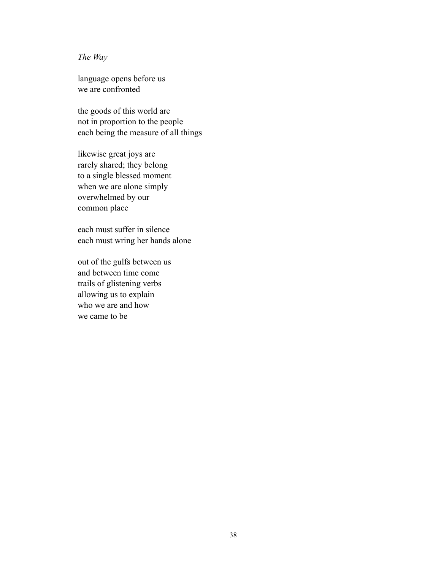### *The Way*

language opens before us we are confronted

the goods of this world are not in proportion to the people each being the measure of all things

likewise great joys are rarely shared; they belong to a single blessed moment when we are alone simply overwhelmed by our common place

each must suffer in silence each must wring her hands alone

out of the gulfs between us and between time come trails of glistening verbs allowing us to explain who we are and how we came to be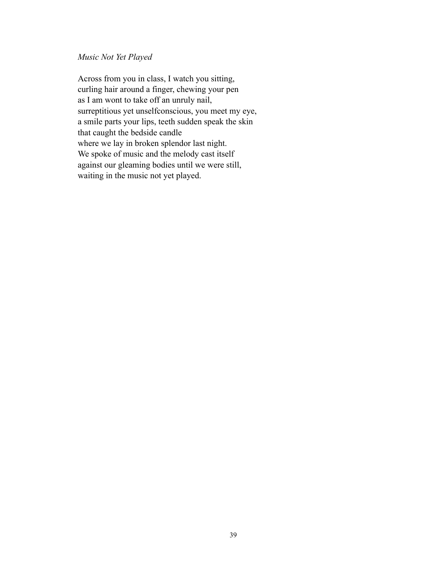### *Music Not Yet Played*

Across from you in class, I watch you sitting, curling hair around a finger, chewing your pen as I am wont to take off an unruly nail, surreptitious yet unselfconscious, you meet my eye, a smile parts your lips, teeth sudden speak the skin that caught the bedside candle where we lay in broken splendor last night. We spoke of music and the melody cast itself against our gleaming bodies until we were still, waiting in the music not yet played.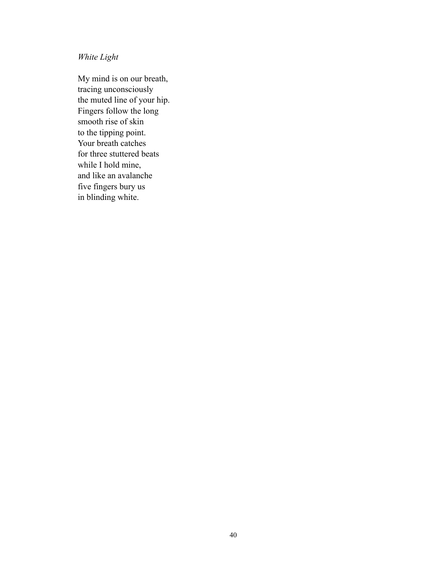*White Light*

My mind is on our breath, tracing unconsciously the muted line of your hip. Fingers follow the long smooth rise of skin to the tipping point. Your breath catches for three stuttered beats while I hold mine, and like an avalanche five fingers bury us in blinding white.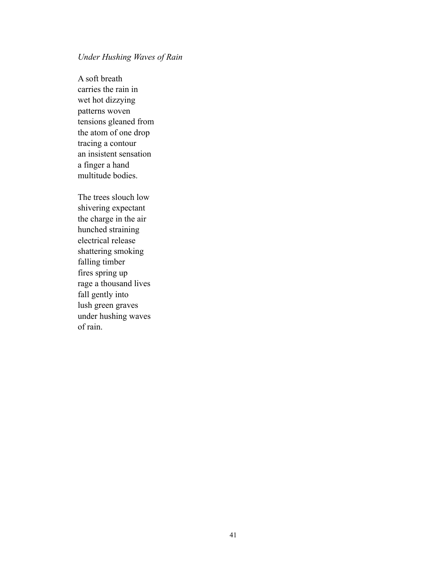### *Under Hushing Waves of Rain*

A soft breath carries the rain in wet hot dizzying patterns woven tensions gleaned from the atom of one drop tracing a contour an insistent sensation a finger a hand multitude bodies.

The trees slouch low shivering expectant the charge in the air hunched straining electrical release shattering smoking falling timber fires spring up rage a thousand lives fall gently into lush green graves under hushing waves of rain.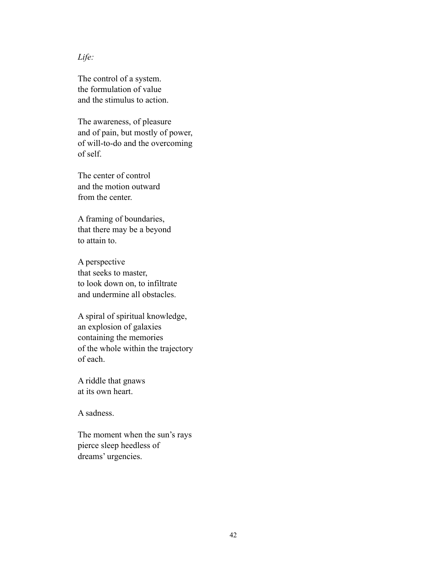*Life:*

The control of a system. the formulation of value and the stimulus to action.

The awareness, of pleasure and of pain, but mostly of power, of will-to-do and the overcoming of self.

The center of control and the motion outward from the center.

A framing of boundaries, that there may be a beyond to attain to.

A perspective that seeks to master, to look down on, to infiltrate and undermine all obstacles.

A spiral of spiritual knowledge, an explosion of galaxies containing the memories of the whole within the trajectory of each.

A riddle that gnaws at its own heart.

A sadness.

The moment when the sun's rays pierce sleep heedless of dreams' urgencies.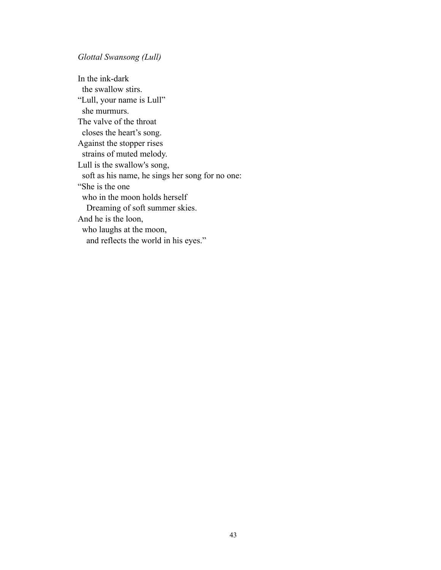*Glottal Swansong (Lull)*

In the ink-dark the swallow stirs. "Lull, your name is Lull" she murmurs. The valve of the throat closes the heart's song. Against the stopper rises strains of muted melody. Lull is the swallow's song, soft as his name, he sings her song for no one: "She is the one who in the moon holds herself Dreaming of soft summer skies. And he is the loon, who laughs at the moon, and reflects the world in his eyes."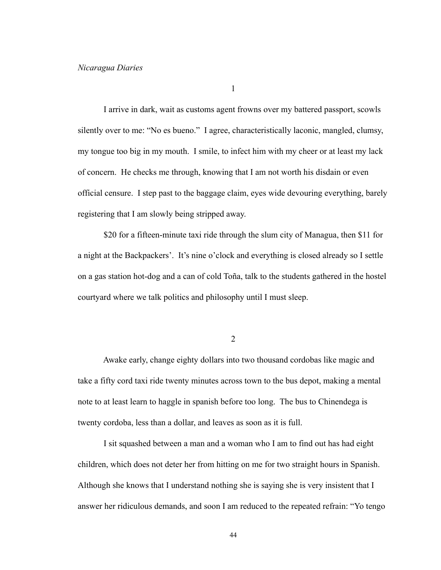1

I arrive in dark, wait as customs agent frowns over my battered passport, scowls silently over to me: "No es bueno." I agree, characteristically laconic, mangled, clumsy, my tongue too big in my mouth. I smile, to infect him with my cheer or at least my lack of concern. He checks me through, knowing that I am not worth his disdain or even official censure. I step past to the baggage claim, eyes wide devouring everything, barely registering that I am slowly being stripped away.

 \$20 for a fifteen-minute taxi ride through the slum city of Managua, then \$11 for a night at the Backpackers'. It's nine o'clock and everything is closed already so I settle on a gas station hot-dog and a can of cold Toña, talk to the students gathered in the hostel courtyard where we talk politics and philosophy until I must sleep.

2

 Awake early, change eighty dollars into two thousand cordobas like magic and take a fifty cord taxi ride twenty minutes across town to the bus depot, making a mental note to at least learn to haggle in spanish before too long. The bus to Chinendega is twenty cordoba, less than a dollar, and leaves as soon as it is full.

 I sit squashed between a man and a woman who I am to find out has had eight children, which does not deter her from hitting on me for two straight hours in Spanish. Although she knows that I understand nothing she is saying she is very insistent that I answer her ridiculous demands, and soon I am reduced to the repeated refrain: "Yo tengo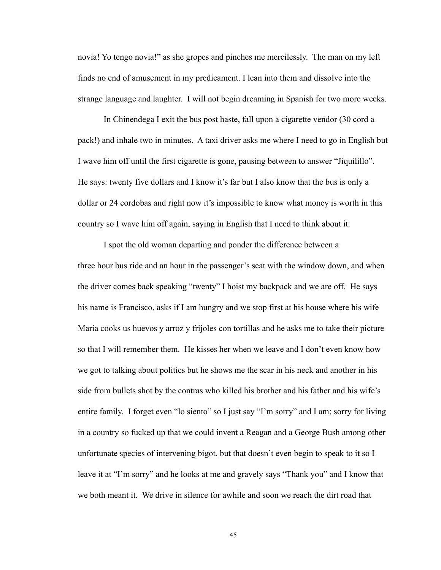novia! Yo tengo novia!" as she gropes and pinches me mercilessly. The man on my left finds no end of amusement in my predicament. I lean into them and dissolve into the strange language and laughter. I will not begin dreaming in Spanish for two more weeks.

 In Chinendega I exit the bus post haste, fall upon a cigarette vendor (30 cord a pack!) and inhale two in minutes. A taxi driver asks me where I need to go in English but I wave him off until the first cigarette is gone, pausing between to answer "Jiquilillo". He says: twenty five dollars and I know it's far but I also know that the bus is only a dollar or 24 cordobas and right now it's impossible to know what money is worth in this country so I wave him off again, saying in English that I need to think about it.

 I spot the old woman departing and ponder the difference between a three hour bus ride and an hour in the passenger's seat with the window down, and when the driver comes back speaking "twenty" I hoist my backpack and we are off. He says his name is Francisco, asks if I am hungry and we stop first at his house where his wife Maria cooks us huevos y arroz y frijoles con tortillas and he asks me to take their picture so that I will remember them. He kisses her when we leave and I don't even know how we got to talking about politics but he shows me the scar in his neck and another in his side from bullets shot by the contras who killed his brother and his father and his wife's entire family. I forget even "lo siento" so I just say "I'm sorry" and I am; sorry for living in a country so fucked up that we could invent a Reagan and a George Bush among other unfortunate species of intervening bigot, but that doesn't even begin to speak to it so I leave it at "I'm sorry" and he looks at me and gravely says "Thank you" and I know that we both meant it. We drive in silence for awhile and soon we reach the dirt road that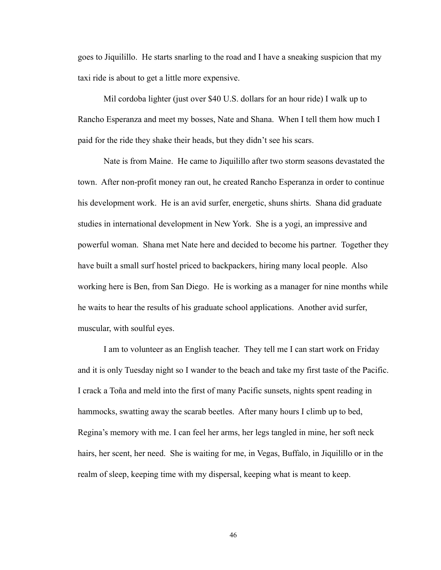goes to Jiquilillo. He starts snarling to the road and I have a sneaking suspicion that my taxi ride is about to get a little more expensive.

 Mil cordoba lighter (just over \$40 U.S. dollars for an hour ride) I walk up to Rancho Esperanza and meet my bosses, Nate and Shana. When I tell them how much I paid for the ride they shake their heads, but they didn't see his scars.

 Nate is from Maine. He came to Jiquilillo after two storm seasons devastated the town. After non-profit money ran out, he created Rancho Esperanza in order to continue his development work. He is an avid surfer, energetic, shuns shirts. Shana did graduate studies in international development in New York. She is a yogi, an impressive and powerful woman. Shana met Nate here and decided to become his partner. Together they have built a small surf hostel priced to backpackers, hiring many local people. Also working here is Ben, from San Diego. He is working as a manager for nine months while he waits to hear the results of his graduate school applications. Another avid surfer, muscular, with soulful eyes.

 I am to volunteer as an English teacher. They tell me I can start work on Friday and it is only Tuesday night so I wander to the beach and take my first taste of the Pacific. I crack a Toña and meld into the first of many Pacific sunsets, nights spent reading in hammocks, swatting away the scarab beetles. After many hours I climb up to bed, Regina's memory with me. I can feel her arms, her legs tangled in mine, her soft neck hairs, her scent, her need. She is waiting for me, in Vegas, Buffalo, in Jiquilillo or in the realm of sleep, keeping time with my dispersal, keeping what is meant to keep.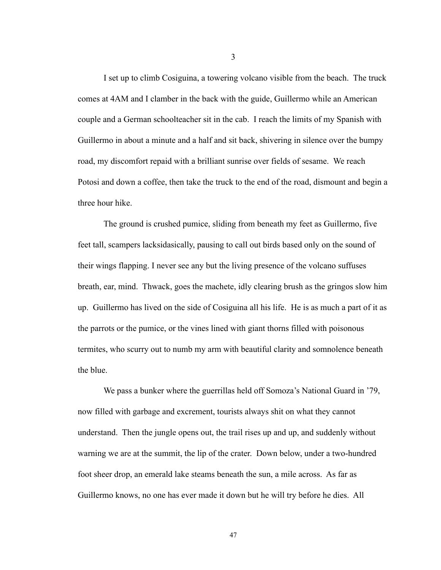I set up to climb Cosiguina, a towering volcano visible from the beach. The truck comes at 4AM and I clamber in the back with the guide, Guillermo while an American couple and a German schoolteacher sit in the cab. I reach the limits of my Spanish with Guillermo in about a minute and a half and sit back, shivering in silence over the bumpy road, my discomfort repaid with a brilliant sunrise over fields of sesame. We reach Potosi and down a coffee, then take the truck to the end of the road, dismount and begin a three hour hike.

 The ground is crushed pumice, sliding from beneath my feet as Guillermo, five feet tall, scampers lacksidasically, pausing to call out birds based only on the sound of their wings flapping. I never see any but the living presence of the volcano suffuses breath, ear, mind. Thwack, goes the machete, idly clearing brush as the gringos slow him up. Guillermo has lived on the side of Cosiguina all his life. He is as much a part of it as the parrots or the pumice, or the vines lined with giant thorns filled with poisonous termites, who scurry out to numb my arm with beautiful clarity and somnolence beneath the blue.

 We pass a bunker where the guerrillas held off Somoza's National Guard in '79, now filled with garbage and excrement, tourists always shit on what they cannot understand. Then the jungle opens out, the trail rises up and up, and suddenly without warning we are at the summit, the lip of the crater. Down below, under a two-hundred foot sheer drop, an emerald lake steams beneath the sun, a mile across. As far as Guillermo knows, no one has ever made it down but he will try before he dies. All

3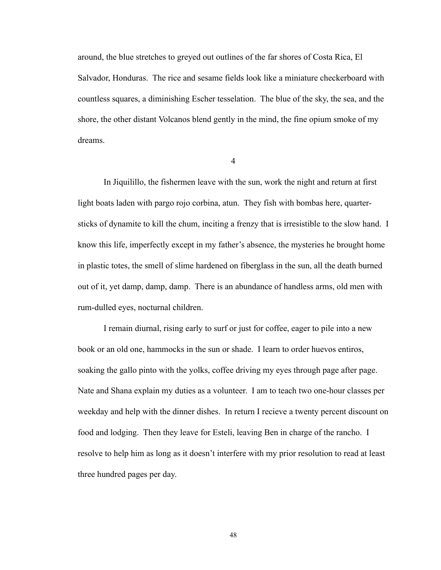around, the blue stretches to greyed out outlines of the far shores of Costa Rica, El Salvador, Honduras. The rice and sesame fields look like a miniature checkerboard with countless squares, a diminishing Escher tesselation. The blue of the sky, the sea, and the shore, the other distant Volcanos blend gently in the mind, the fine opium smoke of my dreams.

4

 In Jiquilillo, the fishermen leave with the sun, work the night and return at first light boats laden with pargo rojo corbina, atun. They fish with bombas here, quartersticks of dynamite to kill the chum, inciting a frenzy that is irresistible to the slow hand. I know this life, imperfectly except in my father's absence, the mysteries he brought home in plastic totes, the smell of slime hardened on fiberglass in the sun, all the death burned out of it, yet damp, damp, damp. There is an abundance of handless arms, old men with rum-dulled eyes, nocturnal children.

 I remain diurnal, rising early to surf or just for coffee, eager to pile into a new book or an old one, hammocks in the sun or shade. I learn to order huevos entiros, soaking the gallo pinto with the yolks, coffee driving my eyes through page after page. Nate and Shana explain my duties as a volunteer. I am to teach two one-hour classes per weekday and help with the dinner dishes. In return I recieve a twenty percent discount on food and lodging. Then they leave for Esteli, leaving Ben in charge of the rancho. I resolve to help him as long as it doesn't interfere with my prior resolution to read at least three hundred pages per day.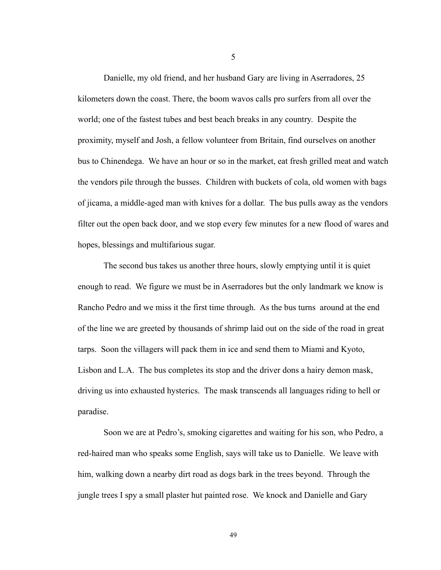Danielle, my old friend, and her husband Gary are living in Aserradores, 25 kilometers down the coast. There, the boom wavos calls pro surfers from all over the world; one of the fastest tubes and best beach breaks in any country. Despite the proximity, myself and Josh, a fellow volunteer from Britain, find ourselves on another bus to Chinendega. We have an hour or so in the market, eat fresh grilled meat and watch the vendors pile through the busses. Children with buckets of cola, old women with bags of jicama, a middle-aged man with knives for a dollar. The bus pulls away as the vendors filter out the open back door, and we stop every few minutes for a new flood of wares and hopes, blessings and multifarious sugar.

 The second bus takes us another three hours, slowly emptying until it is quiet enough to read. We figure we must be in Aserradores but the only landmark we know is Rancho Pedro and we miss it the first time through. As the bus turns around at the end of the line we are greeted by thousands of shrimp laid out on the side of the road in great tarps. Soon the villagers will pack them in ice and send them to Miami and Kyoto, Lisbon and L.A. The bus completes its stop and the driver dons a hairy demon mask, driving us into exhausted hysterics. The mask transcends all languages riding to hell or paradise.

 Soon we are at Pedro's, smoking cigarettes and waiting for his son, who Pedro, a red-haired man who speaks some English, says will take us to Danielle. We leave with him, walking down a nearby dirt road as dogs bark in the trees beyond. Through the jungle trees I spy a small plaster hut painted rose. We knock and Danielle and Gary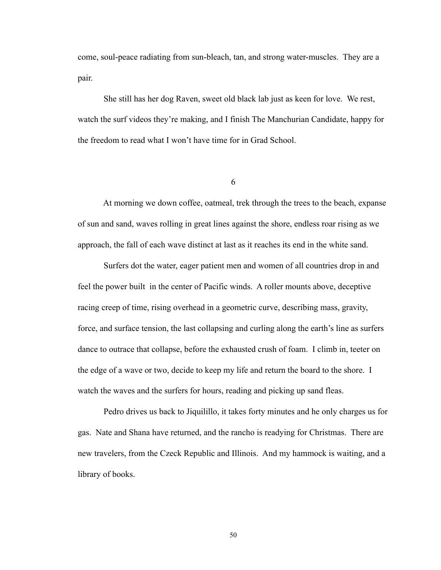come, soul-peace radiating from sun-bleach, tan, and strong water-muscles. They are a pair.

 She still has her dog Raven, sweet old black lab just as keen for love. We rest, watch the surf videos they're making, and I finish The Manchurian Candidate, happy for the freedom to read what I won't have time for in Grad School.

6

 At morning we down coffee, oatmeal, trek through the trees to the beach, expanse of sun and sand, waves rolling in great lines against the shore, endless roar rising as we approach, the fall of each wave distinct at last as it reaches its end in the white sand.

 Surfers dot the water, eager patient men and women of all countries drop in and feel the power built in the center of Pacific winds. A roller mounts above, deceptive racing creep of time, rising overhead in a geometric curve, describing mass, gravity, force, and surface tension, the last collapsing and curling along the earth's line as surfers dance to outrace that collapse, before the exhausted crush of foam. I climb in, teeter on the edge of a wave or two, decide to keep my life and return the board to the shore. I watch the waves and the surfers for hours, reading and picking up sand fleas.

 Pedro drives us back to Jiquilillo, it takes forty minutes and he only charges us for gas. Nate and Shana have returned, and the rancho is readying for Christmas. There are new travelers, from the Czeck Republic and Illinois. And my hammock is waiting, and a library of books.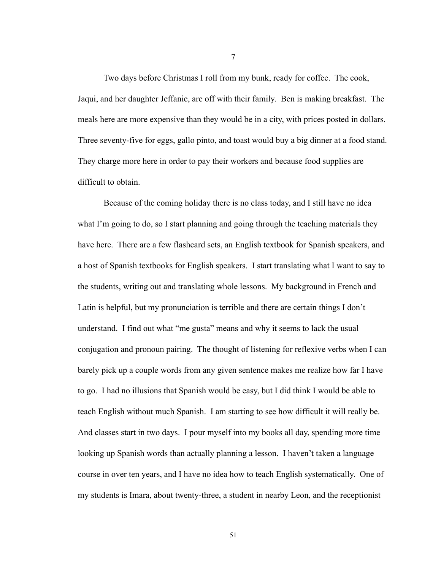Two days before Christmas I roll from my bunk, ready for coffee. The cook, Jaqui, and her daughter Jeffanie, are off with their family. Ben is making breakfast. The meals here are more expensive than they would be in a city, with prices posted in dollars. Three seventy-five for eggs, gallo pinto, and toast would buy a big dinner at a food stand. They charge more here in order to pay their workers and because food supplies are difficult to obtain.

 Because of the coming holiday there is no class today, and I still have no idea what I'm going to do, so I start planning and going through the teaching materials they have here. There are a few flashcard sets, an English textbook for Spanish speakers, and a host of Spanish textbooks for English speakers. I start translating what I want to say to the students, writing out and translating whole lessons. My background in French and Latin is helpful, but my pronunciation is terrible and there are certain things I don't understand. I find out what "me gusta" means and why it seems to lack the usual conjugation and pronoun pairing. The thought of listening for reflexive verbs when I can barely pick up a couple words from any given sentence makes me realize how far I have to go. I had no illusions that Spanish would be easy, but I did think I would be able to teach English without much Spanish. I am starting to see how difficult it will really be. And classes start in two days. I pour myself into my books all day, spending more time looking up Spanish words than actually planning a lesson. I haven't taken a language course in over ten years, and I have no idea how to teach English systematically. One of my students is Imara, about twenty-three, a student in nearby Leon, and the receptionist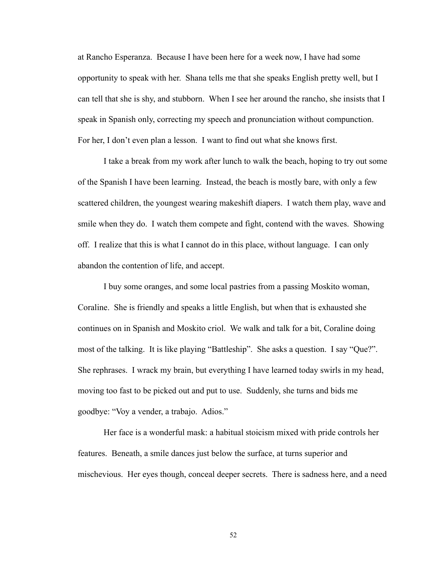at Rancho Esperanza. Because I have been here for a week now, I have had some opportunity to speak with her. Shana tells me that she speaks English pretty well, but I can tell that she is shy, and stubborn. When I see her around the rancho, she insists that I speak in Spanish only, correcting my speech and pronunciation without compunction. For her, I don't even plan a lesson. I want to find out what she knows first.

 I take a break from my work after lunch to walk the beach, hoping to try out some of the Spanish I have been learning. Instead, the beach is mostly bare, with only a few scattered children, the youngest wearing makeshift diapers. I watch them play, wave and smile when they do. I watch them compete and fight, contend with the waves. Showing off. I realize that this is what I cannot do in this place, without language. I can only abandon the contention of life, and accept.

 I buy some oranges, and some local pastries from a passing Moskito woman, Coraline. She is friendly and speaks a little English, but when that is exhausted she continues on in Spanish and Moskito criol. We walk and talk for a bit, Coraline doing most of the talking. It is like playing "Battleship". She asks a question. I say "Que?". She rephrases. I wrack my brain, but everything I have learned today swirls in my head, moving too fast to be picked out and put to use. Suddenly, she turns and bids me goodbye: "Voy a vender, a trabajo. Adios."

 Her face is a wonderful mask: a habitual stoicism mixed with pride controls her features. Beneath, a smile dances just below the surface, at turns superior and mischevious. Her eyes though, conceal deeper secrets. There is sadness here, and a need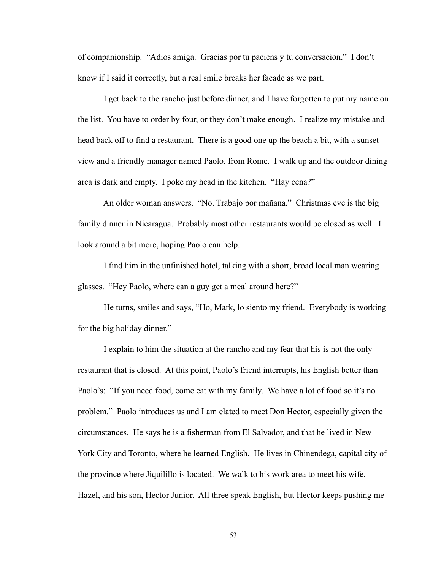of companionship. "Adios amiga. Gracias por tu paciens y tu conversacion." I don't know if I said it correctly, but a real smile breaks her facade as we part.

 I get back to the rancho just before dinner, and I have forgotten to put my name on the list. You have to order by four, or they don't make enough. I realize my mistake and head back off to find a restaurant. There is a good one up the beach a bit, with a sunset view and a friendly manager named Paolo, from Rome. I walk up and the outdoor dining area is dark and empty. I poke my head in the kitchen. "Hay cena?"

 An older woman answers. "No. Trabajo por mañana." Christmas eve is the big family dinner in Nicaragua. Probably most other restaurants would be closed as well. I look around a bit more, hoping Paolo can help.

 I find him in the unfinished hotel, talking with a short, broad local man wearing glasses. "Hey Paolo, where can a guy get a meal around here?"

 He turns, smiles and says, "Ho, Mark, lo siento my friend. Everybody is working for the big holiday dinner."

 I explain to him the situation at the rancho and my fear that his is not the only restaurant that is closed. At this point, Paolo's friend interrupts, his English better than Paolo's: "If you need food, come eat with my family. We have a lot of food so it's no problem." Paolo introduces us and I am elated to meet Don Hector, especially given the circumstances. He says he is a fisherman from El Salvador, and that he lived in New York City and Toronto, where he learned English. He lives in Chinendega, capital city of the province where Jiquilillo is located. We walk to his work area to meet his wife, Hazel, and his son, Hector Junior. All three speak English, but Hector keeps pushing me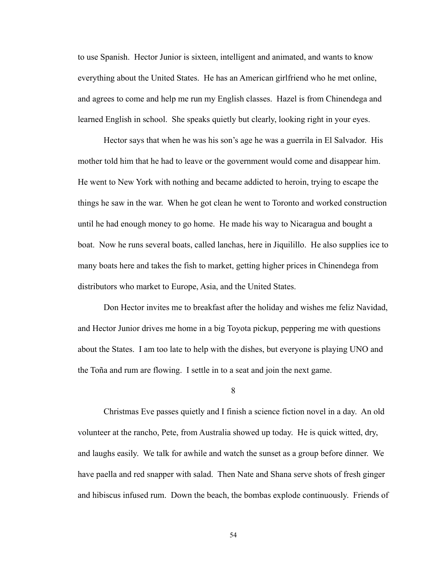to use Spanish. Hector Junior is sixteen, intelligent and animated, and wants to know everything about the United States. He has an American girlfriend who he met online, and agrees to come and help me run my English classes. Hazel is from Chinendega and learned English in school. She speaks quietly but clearly, looking right in your eyes.

 Hector says that when he was his son's age he was a guerrila in El Salvador. His mother told him that he had to leave or the government would come and disappear him. He went to New York with nothing and became addicted to heroin, trying to escape the things he saw in the war. When he got clean he went to Toronto and worked construction until he had enough money to go home. He made his way to Nicaragua and bought a boat. Now he runs several boats, called lanchas, here in Jiquilillo. He also supplies ice to many boats here and takes the fish to market, getting higher prices in Chinendega from distributors who market to Europe, Asia, and the United States.

 Don Hector invites me to breakfast after the holiday and wishes me feliz Navidad, and Hector Junior drives me home in a big Toyota pickup, peppering me with questions about the States. I am too late to help with the dishes, but everyone is playing UNO and the Toña and rum are flowing. I settle in to a seat and join the next game.

8

 Christmas Eve passes quietly and I finish a science fiction novel in a day. An old volunteer at the rancho, Pete, from Australia showed up today. He is quick witted, dry, and laughs easily. We talk for awhile and watch the sunset as a group before dinner. We have paella and red snapper with salad. Then Nate and Shana serve shots of fresh ginger and hibiscus infused rum. Down the beach, the bombas explode continuously. Friends of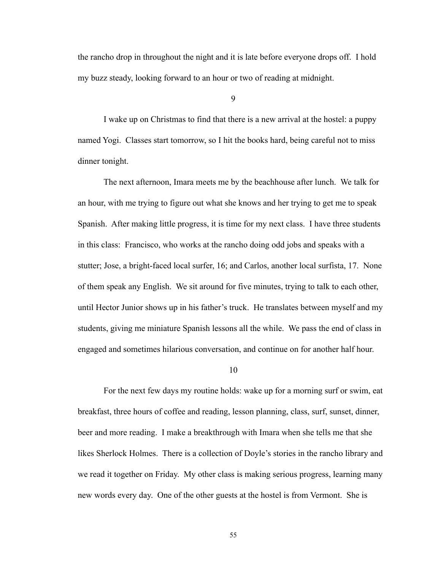the rancho drop in throughout the night and it is late before everyone drops off. I hold my buzz steady, looking forward to an hour or two of reading at midnight.

9

 I wake up on Christmas to find that there is a new arrival at the hostel: a puppy named Yogi. Classes start tomorrow, so I hit the books hard, being careful not to miss dinner tonight.

 The next afternoon, Imara meets me by the beachhouse after lunch. We talk for an hour, with me trying to figure out what she knows and her trying to get me to speak Spanish. After making little progress, it is time for my next class. I have three students in this class: Francisco, who works at the rancho doing odd jobs and speaks with a stutter; Jose, a bright-faced local surfer, 16; and Carlos, another local surfista, 17. None of them speak any English. We sit around for five minutes, trying to talk to each other, until Hector Junior shows up in his father's truck. He translates between myself and my students, giving me miniature Spanish lessons all the while. We pass the end of class in engaged and sometimes hilarious conversation, and continue on for another half hour.

#### 10

 For the next few days my routine holds: wake up for a morning surf or swim, eat breakfast, three hours of coffee and reading, lesson planning, class, surf, sunset, dinner, beer and more reading. I make a breakthrough with Imara when she tells me that she likes Sherlock Holmes. There is a collection of Doyle's stories in the rancho library and we read it together on Friday. My other class is making serious progress, learning many new words every day. One of the other guests at the hostel is from Vermont. She is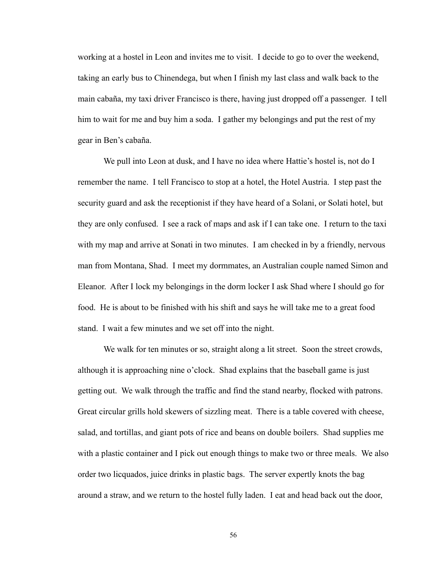working at a hostel in Leon and invites me to visit. I decide to go to over the weekend, taking an early bus to Chinendega, but when I finish my last class and walk back to the main cabaña, my taxi driver Francisco is there, having just dropped off a passenger. I tell him to wait for me and buy him a soda. I gather my belongings and put the rest of my gear in Ben's cabaña.

 We pull into Leon at dusk, and I have no idea where Hattie's hostel is, not do I remember the name. I tell Francisco to stop at a hotel, the Hotel Austria. I step past the security guard and ask the receptionist if they have heard of a Solani, or Solati hotel, but they are only confused. I see a rack of maps and ask if I can take one. I return to the taxi with my map and arrive at Sonati in two minutes. I am checked in by a friendly, nervous man from Montana, Shad. I meet my dormmates, an Australian couple named Simon and Eleanor. After I lock my belongings in the dorm locker I ask Shad where I should go for food. He is about to be finished with his shift and says he will take me to a great food stand. I wait a few minutes and we set off into the night.

 We walk for ten minutes or so, straight along a lit street. Soon the street crowds, although it is approaching nine o'clock. Shad explains that the baseball game is just getting out. We walk through the traffic and find the stand nearby, flocked with patrons. Great circular grills hold skewers of sizzling meat. There is a table covered with cheese, salad, and tortillas, and giant pots of rice and beans on double boilers. Shad supplies me with a plastic container and I pick out enough things to make two or three meals. We also order two licquados, juice drinks in plastic bags. The server expertly knots the bag around a straw, and we return to the hostel fully laden. I eat and head back out the door,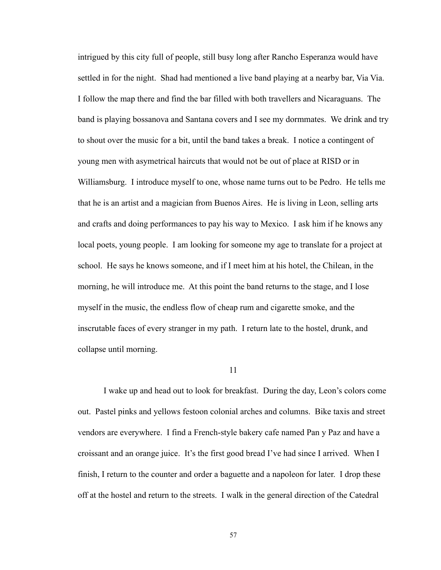intrigued by this city full of people, still busy long after Rancho Esperanza would have settled in for the night. Shad had mentioned a live band playing at a nearby bar, Via Via. I follow the map there and find the bar filled with both travellers and Nicaraguans. The band is playing bossanova and Santana covers and I see my dormmates. We drink and try to shout over the music for a bit, until the band takes a break. I notice a contingent of young men with asymetrical haircuts that would not be out of place at RISD or in Williamsburg. I introduce myself to one, whose name turns out to be Pedro. He tells me that he is an artist and a magician from Buenos Aires. He is living in Leon, selling arts and crafts and doing performances to pay his way to Mexico. I ask him if he knows any local poets, young people. I am looking for someone my age to translate for a project at school. He says he knows someone, and if I meet him at his hotel, the Chilean, in the morning, he will introduce me. At this point the band returns to the stage, and I lose myself in the music, the endless flow of cheap rum and cigarette smoke, and the inscrutable faces of every stranger in my path. I return late to the hostel, drunk, and collapse until morning.

#### 11

 I wake up and head out to look for breakfast. During the day, Leon's colors come out. Pastel pinks and yellows festoon colonial arches and columns. Bike taxis and street vendors are everywhere. I find a French-style bakery cafe named Pan y Paz and have a croissant and an orange juice. It's the first good bread I've had since I arrived. When I finish, I return to the counter and order a baguette and a napoleon for later. I drop these off at the hostel and return to the streets. I walk in the general direction of the Catedral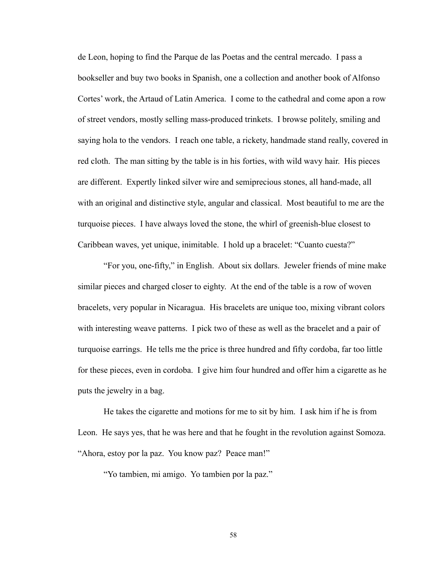de Leon, hoping to find the Parque de las Poetas and the central mercado. I pass a bookseller and buy two books in Spanish, one a collection and another book of Alfonso Cortes' work, the Artaud of Latin America. I come to the cathedral and come apon a row of street vendors, mostly selling mass-produced trinkets. I browse politely, smiling and saying hola to the vendors. I reach one table, a rickety, handmade stand really, covered in red cloth. The man sitting by the table is in his forties, with wild wavy hair. His pieces are different. Expertly linked silver wire and semiprecious stones, all hand-made, all with an original and distinctive style, angular and classical. Most beautiful to me are the turquoise pieces. I have always loved the stone, the whirl of greenish-blue closest to Caribbean waves, yet unique, inimitable. I hold up a bracelet: "Cuanto cuesta?"

 "For you, one-fifty," in English. About six dollars. Jeweler friends of mine make similar pieces and charged closer to eighty. At the end of the table is a row of woven bracelets, very popular in Nicaragua. His bracelets are unique too, mixing vibrant colors with interesting weave patterns. I pick two of these as well as the bracelet and a pair of turquoise earrings. He tells me the price is three hundred and fifty cordoba, far too little for these pieces, even in cordoba. I give him four hundred and offer him a cigarette as he puts the jewelry in a bag.

 He takes the cigarette and motions for me to sit by him. I ask him if he is from Leon. He says yes, that he was here and that he fought in the revolution against Somoza. "Ahora, estoy por la paz. You know paz? Peace man!"

"Yo tambien, mi amigo. Yo tambien por la paz."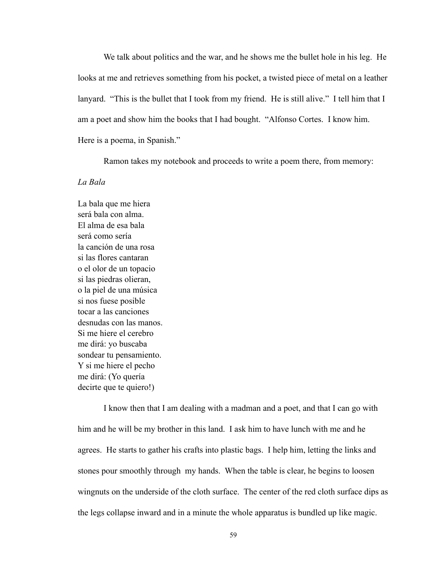We talk about politics and the war, and he shows me the bullet hole in his leg. He looks at me and retrieves something from his pocket, a twisted piece of metal on a leather lanyard. "This is the bullet that I took from my friend. He is still alive." I tell him that I am a poet and show him the books that I had bought. "Alfonso Cortes. I know him. Here is a poema, in Spanish."

Ramon takes my notebook and proceeds to write a poem there, from memory:

#### *La Bala*

La bala que me hiera será bala con alma. El alma de esa bala será como sería la canción de una rosa si las flores cantaran o el olor de un topacio si las piedras olieran, o la piel de una música si nos fuese posible tocar a las canciones desnudas con las manos. Si me hiere el cerebro me dirá: yo buscaba sondear tu pensamiento. Y si me hiere el pecho me dirá: (Yo quería decirte que te quiero!)

 I know then that I am dealing with a madman and a poet, and that I can go with him and he will be my brother in this land. I ask him to have lunch with me and he agrees. He starts to gather his crafts into plastic bags. I help him, letting the links and stones pour smoothly through my hands. When the table is clear, he begins to loosen wingnuts on the underside of the cloth surface. The center of the red cloth surface dips as the legs collapse inward and in a minute the whole apparatus is bundled up like magic.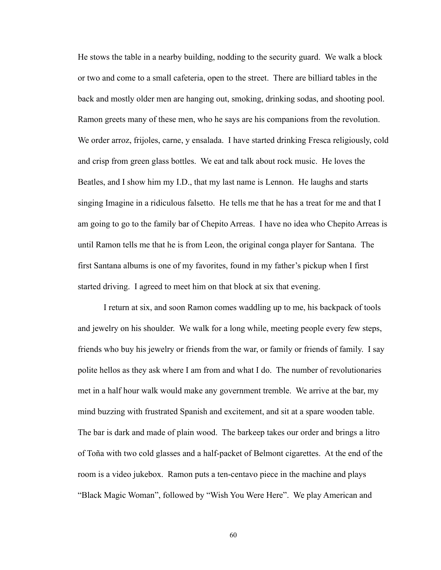He stows the table in a nearby building, nodding to the security guard. We walk a block or two and come to a small cafeteria, open to the street. There are billiard tables in the back and mostly older men are hanging out, smoking, drinking sodas, and shooting pool. Ramon greets many of these men, who he says are his companions from the revolution. We order arroz, frijoles, carne, y ensalada. I have started drinking Fresca religiously, cold and crisp from green glass bottles. We eat and talk about rock music. He loves the Beatles, and I show him my I.D., that my last name is Lennon. He laughs and starts singing Imagine in a ridiculous falsetto. He tells me that he has a treat for me and that I am going to go to the family bar of Chepito Arreas. I have no idea who Chepito Arreas is until Ramon tells me that he is from Leon, the original conga player for Santana. The first Santana albums is one of my favorites, found in my father's pickup when I first started driving. I agreed to meet him on that block at six that evening.

 I return at six, and soon Ramon comes waddling up to me, his backpack of tools and jewelry on his shoulder. We walk for a long while, meeting people every few steps, friends who buy his jewelry or friends from the war, or family or friends of family. I say polite hellos as they ask where I am from and what I do. The number of revolutionaries met in a half hour walk would make any government tremble. We arrive at the bar, my mind buzzing with frustrated Spanish and excitement, and sit at a spare wooden table. The bar is dark and made of plain wood. The barkeep takes our order and brings a litro of Toña with two cold glasses and a half-packet of Belmont cigarettes. At the end of the room is a video jukebox. Ramon puts a ten-centavo piece in the machine and plays "Black Magic Woman", followed by "Wish You Were Here". We play American and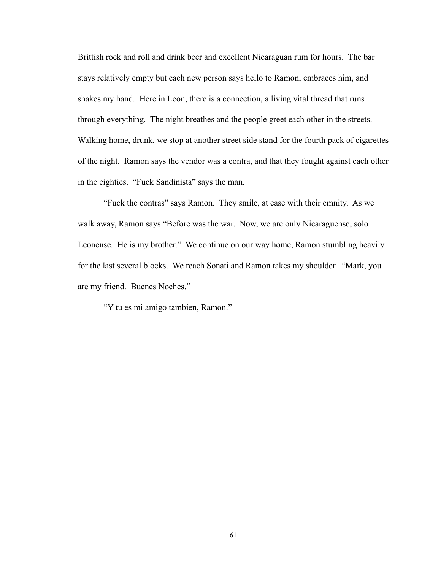Brittish rock and roll and drink beer and excellent Nicaraguan rum for hours. The bar stays relatively empty but each new person says hello to Ramon, embraces him, and shakes my hand. Here in Leon, there is a connection, a living vital thread that runs through everything. The night breathes and the people greet each other in the streets. Walking home, drunk, we stop at another street side stand for the fourth pack of cigarettes of the night. Ramon says the vendor was a contra, and that they fought against each other in the eighties. "Fuck Sandinista" says the man.

 "Fuck the contras" says Ramon. They smile, at ease with their emnity. As we walk away, Ramon says "Before was the war. Now, we are only Nicaraguense, solo Leonense. He is my brother." We continue on our way home, Ramon stumbling heavily for the last several blocks. We reach Sonati and Ramon takes my shoulder. "Mark, you are my friend. Buenes Noches."

"Y tu es mi amigo tambien, Ramon."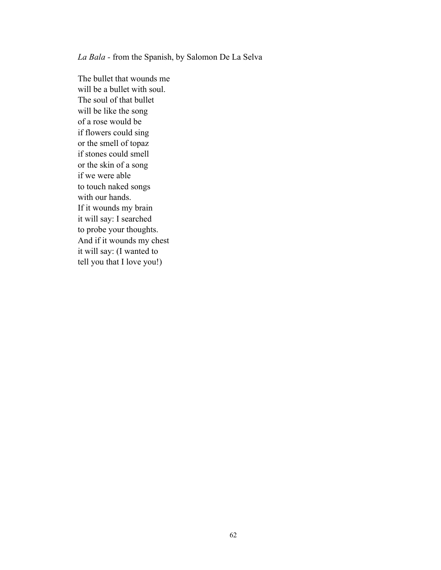*La Bala -* from the Spanish, by Salomon De La Selva

The bullet that wounds me will be a bullet with soul. The soul of that bullet will be like the song of a rose would be if flowers could sing or the smell of topaz if stones could smell or the skin of a song if we were able to touch naked songs with our hands. If it wounds my brain it will say: I searched to probe your thoughts. And if it wounds my chest it will say: (I wanted to tell you that I love you!)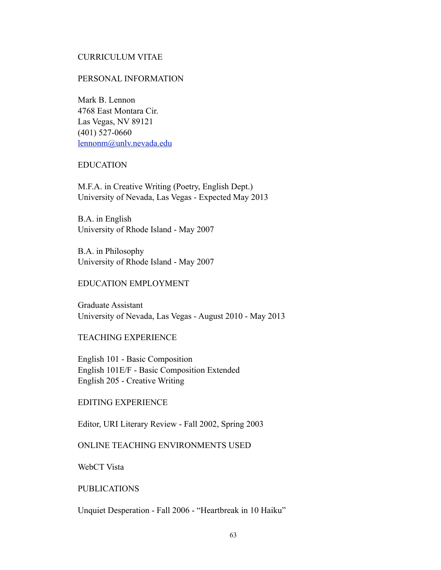### CURRICULUM VITAE

#### PERSONAL INFORMATION

Mark B. Lennon 4768 East Montara Cir. Las Vegas, NV 89121 (401) 527-0660 [lennonm@unlv.nevada.edu](mailto:lennonm@unlv.nevada.edu)

#### EDUCATION

M.F.A. in Creative Writing (Poetry, English Dept.) University of Nevada, Las Vegas - Expected May 2013

B.A. in English University of Rhode Island - May 2007

B.A. in Philosophy University of Rhode Island - May 2007

### EDUCATION EMPLOYMENT

Graduate Assistant University of Nevada, Las Vegas - August 2010 - May 2013

### TEACHING EXPERIENCE

English 101 - Basic Composition English 101E/F - Basic Composition Extended English 205 - Creative Writing

### EDITING EXPERIENCE

Editor, URI Literary Review - Fall 2002, Spring 2003

### ONLINE TEACHING ENVIRONMENTS USED

WebCT Vista

#### PUBLICATIONS

Unquiet Desperation - Fall 2006 - "Heartbreak in 10 Haiku"